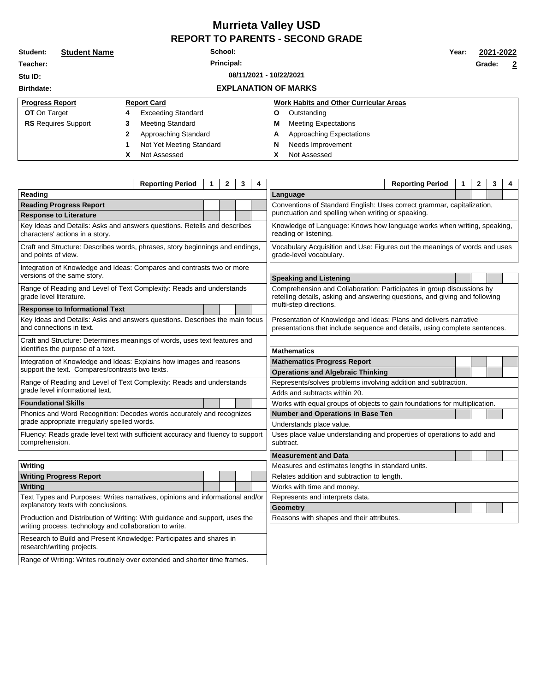## **Murrieta Valley USD REPORT TO PARENTS - SECOND GRADE**

| Student:                           | <b>Student Name</b>        | School: |                             |   |                                               |  |        | 2021-2022               |
|------------------------------------|----------------------------|---------|-----------------------------|---|-----------------------------------------------|--|--------|-------------------------|
| Teacher:                           | Principal:                 |         |                             |   |                                               |  | Grade: | $\overline{\mathbf{2}}$ |
| 08/11/2021 - 10/22/2021<br>Stu ID: |                            |         |                             |   |                                               |  |        |                         |
| <b>Birthdate:</b>                  |                            |         | <b>EXPLANATION OF MARKS</b> |   |                                               |  |        |                         |
| <b>Progress Report</b>             |                            |         | <b>Report Card</b>          |   | <b>Work Habits and Other Curricular Areas</b> |  |        |                         |
| <b>OT</b> On Target                |                            | 4       | <b>Exceeding Standard</b>   | Ο | Outstanding                                   |  |        |                         |
|                                    | <b>RS</b> Requires Support | 3       | Meeting Standard            | М | <b>Meeting Expectations</b>                   |  |        |                         |
|                                    |                            | 2       | Approaching Standard        | A | Approaching Expectations                      |  |        |                         |
|                                    |                            |         | Not Yet Meeting Standard    | N | Needs Improvement                             |  |        |                         |
|                                    |                            | X       | Not Assessed                | χ | Not Assessed                                  |  |        |                         |

|                                                                                                                                        | <b>Reporting Period</b> | 1 | $\mathbf{2}$ | 3 | 4                                                                                                | <b>Reporting Period</b><br>1                                                                                                                         | $\mathbf{2}$ | 3 | 4 |  |  |  |  |
|----------------------------------------------------------------------------------------------------------------------------------------|-------------------------|---|--------------|---|--------------------------------------------------------------------------------------------------|------------------------------------------------------------------------------------------------------------------------------------------------------|--------------|---|---|--|--|--|--|
| Reading                                                                                                                                |                         |   |              |   | Language                                                                                         |                                                                                                                                                      |              |   |   |  |  |  |  |
| <b>Reading Progress Report</b>                                                                                                         |                         |   |              |   |                                                                                                  | Conventions of Standard English: Uses correct grammar, capitalization,                                                                               |              |   |   |  |  |  |  |
| <b>Response to Literature</b>                                                                                                          |                         |   |              |   |                                                                                                  | punctuation and spelling when writing or speaking.                                                                                                   |              |   |   |  |  |  |  |
| Key Ideas and Details: Asks and answers questions. Retells and describes<br>characters' actions in a story.                            |                         |   |              |   | Knowledge of Language: Knows how language works when writing, speaking,<br>reading or listening. |                                                                                                                                                      |              |   |   |  |  |  |  |
| Craft and Structure: Describes words, phrases, story beginnings and endings,<br>and points of view.                                    |                         |   |              |   |                                                                                                  | Vocabulary Acquisition and Use: Figures out the meanings of words and uses<br>grade-level vocabulary.                                                |              |   |   |  |  |  |  |
| Integration of Knowledge and Ideas: Compares and contrasts two or more<br>versions of the same story.                                  |                         |   |              |   |                                                                                                  | <b>Speaking and Listening</b>                                                                                                                        |              |   |   |  |  |  |  |
| Range of Reading and Level of Text Complexity: Reads and understands<br>grade level literature.                                        |                         |   |              |   |                                                                                                  | Comprehension and Collaboration: Participates in group discussions by<br>retelling details, asking and answering questions, and giving and following |              |   |   |  |  |  |  |
| <b>Response to Informational Text</b>                                                                                                  |                         |   |              |   |                                                                                                  | multi-step directions.                                                                                                                               |              |   |   |  |  |  |  |
| Key Ideas and Details: Asks and answers questions. Describes the main focus<br>and connections in text.                                |                         |   |              |   |                                                                                                  | Presentation of Knowledge and Ideas: Plans and delivers narrative<br>presentations that include sequence and details, using complete sentences.      |              |   |   |  |  |  |  |
| Craft and Structure: Determines meanings of words, uses text features and                                                              |                         |   |              |   |                                                                                                  |                                                                                                                                                      |              |   |   |  |  |  |  |
| identifies the purpose of a text.                                                                                                      |                         |   |              |   |                                                                                                  | <b>Mathematics</b>                                                                                                                                   |              |   |   |  |  |  |  |
| Integration of Knowledge and Ideas: Explains how images and reasons                                                                    |                         |   |              |   |                                                                                                  | <b>Mathematics Progress Report</b>                                                                                                                   |              |   |   |  |  |  |  |
| support the text. Compares/contrasts two texts.                                                                                        |                         |   |              |   |                                                                                                  | <b>Operations and Algebraic Thinking</b>                                                                                                             |              |   |   |  |  |  |  |
| Range of Reading and Level of Text Complexity: Reads and understands                                                                   |                         |   |              |   |                                                                                                  | Represents/solves problems involving addition and subtraction.                                                                                       |              |   |   |  |  |  |  |
| grade level informational text.                                                                                                        |                         |   |              |   |                                                                                                  | Adds and subtracts within 20.                                                                                                                        |              |   |   |  |  |  |  |
| <b>Foundational Skills</b>                                                                                                             |                         |   |              |   | Works with equal groups of objects to gain foundations for multiplication.                       |                                                                                                                                                      |              |   |   |  |  |  |  |
| Phonics and Word Recognition: Decodes words accurately and recognizes                                                                  |                         |   |              |   |                                                                                                  | Number and Operations in Base Ten                                                                                                                    |              |   |   |  |  |  |  |
| grade appropriate irregularly spelled words.                                                                                           |                         |   |              |   |                                                                                                  | Understands place value.                                                                                                                             |              |   |   |  |  |  |  |
| Fluency: Reads grade level text with sufficient accuracy and fluency to support<br>comprehension.                                      |                         |   |              |   |                                                                                                  | Uses place value understanding and properties of operations to add and<br>subtract.                                                                  |              |   |   |  |  |  |  |
|                                                                                                                                        |                         |   |              |   |                                                                                                  | <b>Measurement and Data</b>                                                                                                                          |              |   |   |  |  |  |  |
| Writing                                                                                                                                |                         |   |              |   |                                                                                                  | Measures and estimates lengths in standard units.                                                                                                    |              |   |   |  |  |  |  |
| <b>Writing Progress Report</b>                                                                                                         |                         |   |              |   |                                                                                                  | Relates addition and subtraction to length.                                                                                                          |              |   |   |  |  |  |  |
| Writing                                                                                                                                |                         |   |              |   |                                                                                                  | Works with time and money.                                                                                                                           |              |   |   |  |  |  |  |
| Text Types and Purposes: Writes narratives, opinions and informational and/or<br>explanatory texts with conclusions.                   |                         |   |              |   | Represents and interprets data.                                                                  |                                                                                                                                                      |              |   |   |  |  |  |  |
|                                                                                                                                        |                         |   |              |   | <b>Geometry</b>                                                                                  |                                                                                                                                                      |              |   |   |  |  |  |  |
| Production and Distribution of Writing: With guidance and support, uses the<br>writing process, technology and collaboration to write. |                         |   |              |   |                                                                                                  | Reasons with shapes and their attributes.                                                                                                            |              |   |   |  |  |  |  |
| Research to Build and Present Knowledge: Participates and shares in<br>research/writing projects.                                      |                         |   |              |   |                                                                                                  |                                                                                                                                                      |              |   |   |  |  |  |  |
| Range of Writing: Writes routinely over extended and shorter time frames.                                                              |                         |   |              |   |                                                                                                  |                                                                                                                                                      |              |   |   |  |  |  |  |